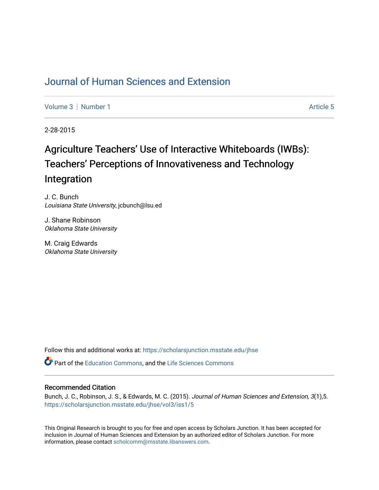## [Journal of Human Sciences and Extension](https://scholarsjunction.msstate.edu/jhse)

[Volume 3](https://scholarsjunction.msstate.edu/jhse/vol3) | [Number 1](https://scholarsjunction.msstate.edu/jhse/vol3/iss1) Article 5

2-28-2015

# Agriculture Teachers' Use of Interactive Whiteboards (IWBs): Teachers' Perceptions of Innovativeness and Technology Integration

J. C. Bunch Louisiana State University, jcbunch@lsu.ed

J. Shane Robinson Oklahoma State University

M. Craig Edwards Oklahoma State University

Follow this and additional works at: [https://scholarsjunction.msstate.edu/jhse](https://scholarsjunction.msstate.edu/jhse?utm_source=scholarsjunction.msstate.edu%2Fjhse%2Fvol3%2Fiss1%2F5&utm_medium=PDF&utm_campaign=PDFCoverPages)

Part of the [Education Commons](http://network.bepress.com/hgg/discipline/784?utm_source=scholarsjunction.msstate.edu%2Fjhse%2Fvol3%2Fiss1%2F5&utm_medium=PDF&utm_campaign=PDFCoverPages), and the [Life Sciences Commons](http://network.bepress.com/hgg/discipline/1016?utm_source=scholarsjunction.msstate.edu%2Fjhse%2Fvol3%2Fiss1%2F5&utm_medium=PDF&utm_campaign=PDFCoverPages) 

#### Recommended Citation

Bunch, J. C., Robinson, J. S., & Edwards, M. C. (2015). Journal of Human Sciences and Extension, 3(1),5. [https://scholarsjunction.msstate.edu/jhse/vol3/iss1/5](https://scholarsjunction.msstate.edu/jhse/vol3/iss1/5?utm_source=scholarsjunction.msstate.edu%2Fjhse%2Fvol3%2Fiss1%2F5&utm_medium=PDF&utm_campaign=PDFCoverPages)

This Original Research is brought to you for free and open access by Scholars Junction. It has been accepted for inclusion in Journal of Human Sciences and Extension by an authorized editor of Scholars Junction. For more information, please contact [scholcomm@msstate.libanswers.com](mailto:scholcomm@msstate.libanswers.com).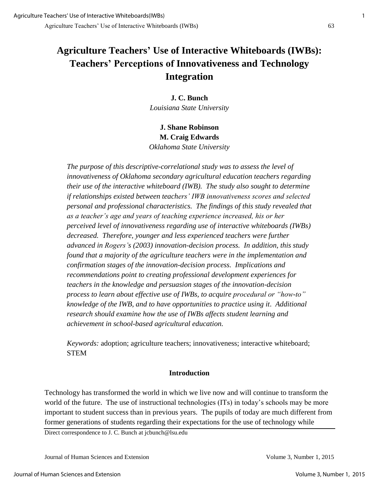## **Agriculture Teachers' Use of Interactive Whiteboards (IWBs): Teachers' Perceptions of Innovativeness and Technology Integration**

**J. C. Bunch**  *Louisiana State University* 

**J. Shane Robinson M. Craig Edwards**  *Oklahoma State University* 

*The purpose of this descriptive-correlational study was to assess the level of innovativeness of Oklahoma secondary agricultural education teachers regarding their use of the interactive whiteboard (IWB). The study also sought to determine if relationships existed between teachers' IWB innovativeness scores and selected personal and professional characteristics. The findings of this study revealed that as a teacher's age and years of teaching experience increased, his or her perceived level of innovativeness regarding use of interactive whiteboards (IWBs) decreased. Therefore, younger and less experienced teachers were further advanced in Rogers's (2003) innovation-decision process. In addition, this study found that a majority of the agriculture teachers were in the implementation and confirmation stages of the innovation-decision process. Implications and recommendations point to creating professional development experiences for teachers in the knowledge and persuasion stages of the innovation-decision process to learn about effective use of IWBs, to acquire procedural or "how-to" knowledge of the IWB, and to have opportunities to practice using it*. *Additional research should examine how the use of IWBs affects student learning and achievement in school-based agricultural education.* 

*Keywords:* adoption; agriculture teachers; innovativeness; interactive whiteboard; **STEM** 

## **Introduction**

Technology has transformed the world in which we live now and will continue to transform the world of the future. The use of instructional technologies (ITs) in today's schools may be more important to student success than in previous years. The pupils of today are much different from former generations of students regarding their expectations for the use of technology while

Direct correspondence to J. C. Bunch at jcbunch@lsu.edu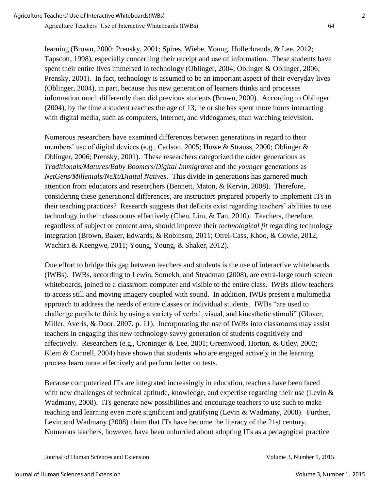learning (Brown, 2000; Prensky, 2001; Spires, Wiebe, Young, Hollerbrands, & Lee, 2012; Tapscott, 1998), especially concerning their receipt and use of information. These students have spent their entire lives immersed in technology (Oblinger, 2004; Oblinger & Oblinger, 2006; Prensky, 2001). In fact, technology is assumed to be an important aspect of their everyday lives (Oblinger, 2004), in part, because this new generation of learners thinks and processes information much differently than did previous students (Brown, 2000). According to Oblinger (2004), by the time a student reaches the age of 13, he or she has spent more hours interacting with digital media, such as computers, Internet, and videogames, than watching television.

Numerous researchers have examined differences between generations in regard to their members' use of digital devices (e.g., Carlson, 2005; Howe & Strauss, 2000; Oblinger & Oblinger, 2006; Prensky, 2001). These researchers categorized the *older* generations as *Traditionals/Matures/Baby Boomers/Digital Immigrants* and the *younger* generations as *NetGens/Millenials/NeXt/Digital Natives*. This divide in generations has garnered much attention from educators and researchers (Bennett, Maton, & Kervin, 2008). Therefore, considering these generational differences, are instructors prepared properly to implement ITs in their teaching practices? Research suggests that deficits exist regarding teachers' abilities to use technology in their classrooms effectively (Chen, Lim, & Tan, 2010). Teachers, therefore, regardless of subject or content area, should improve their *technological fit* regarding technology integration (Brown, Baker, Edwards, & Robinson, 2011; Otrel-Cass, Khoo, & Cowie, 2012; Wachira & Keengwe, 2011; Young, Young, & Shaker, 2012).

One effort to bridge this gap between teachers and students is the use of interactive whiteboards (IWBs). IWBs, according to Lewin, Somekh, and Steadman (2008), are extra-large touch screen whiteboards, joined to a classroom computer and visible to the entire class. IWBs allow teachers to access still and moving imagery coupled with sound. In addition, IWBs present a multimedia approach to address the needs of entire classes or individual students. IWBs "are used to challenge pupils to think by using a variety of verbal, visual, and kinesthetic stimuli" (Glover, Miller, Averis, & Door, 2007, p. 11). Incorporating the use of IWBs into classrooms may assist teachers in engaging this new technology-savvy generation of students cognitively and affectively. Researchers (e.g., Croninger & Lee, 2001; Greenwood, Horton, & Utley, 2002; Klem & Connell, 2004) have shown that students who are engaged actively in the learning process learn more effectively and perform better on tests.

Because computerized ITs are integrated increasingly in education, teachers have been faced with new challenges of technical aptitude, knowledge, and expertise regarding their use (Levin & Wadmany, 2008). ITs generate new possibilities and encourage teachers to use such to make teaching and learning even more significant and gratifying (Levin & Wadmany, 2008). Further, Levin and Wadmany (2008) claim that ITs have become the literacy of the 21st century. Numerous teachers, however, have been unhurried about adopting ITs as a pedagogical practice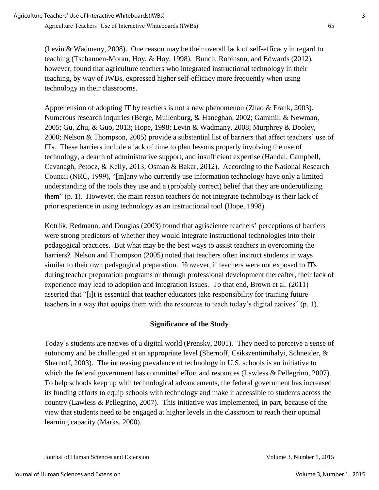(Levin & Wadmany, 2008). One reason may be their overall lack of self-efficacy in regard to teaching (Tschannen-Moran, Hoy, & Hoy, 1998). Bunch, Robinson, and Edwards (2012), however, found that agriculture teachers who integrated instructional technology in their teaching, by way of IWBs, expressed higher self-efficacy more frequently when using technology in their classrooms.

Apprehension of adopting IT by teachers is not a new phenomenon (Zhao & Frank, 2003). Numerous research inquiries (Berge, Muilenburg, & Haneghan, 2002; Gammill & Newman, 2005; Gu, Zhu, & Guo, 2013; Hope, 1998; Levin & Wadmany, 2008; Murphrey & Dooley, 2000; Nelson & Thompson, 2005) provide a substantial list of barriers that affect teachers' use of ITs. These barriers include a lack of time to plan lessons properly involving the use of technology, a dearth of administrative support, and insufficient expertise (Handal, Campbell, Cavanagh, Petocz, & Kelly, 2013; Osman & Bakar, 2012). According to the National Research Council (NRC, 1999), "[m]any who currently use information technology have only a limited understanding of the tools they use and a (probably correct) belief that they are underutilizing them" (p. 1). However, the main reason teachers do not integrate technology is their lack of prior experience in using technology as an instructional tool (Hope, 1998).

Kotrlik, Redmann, and Douglas (2003) found that agriscience teachers' perceptions of barriers were strong predictors of whether they would integrate instructional technologies into their pedagogical practices. But what may be the best ways to assist teachers in overcoming the barriers? Nelson and Thompson (2005) noted that teachers often instruct students in ways similar to their own pedagogical preparation. However, if teachers were not exposed to ITs during teacher preparation programs or through professional development thereafter, their lack of experience may lead to adoption and integration issues. To that end, Brown et al. (2011) asserted that "[i]t is essential that teacher educators take responsibility for training future teachers in a way that equips them with the resources to teach today's digital natives" (p. 1).

## **Significance of the Study**

Today's students are natives of a digital world (Prensky, 2001). They need to perceive a sense of autonomy and be challenged at an appropriate level (Shernoff, Csikszentimihalyi, Schneider, & Shernoff, 2003). The increasing prevalence of technology in U.S. schools is an initiative to which the federal government has committed effort and resources (Lawless & Pellegrino, 2007). To help schools keep up with technological advancements, the federal government has increased its funding efforts to equip schools with technology and make it accessible to students across the country (Lawless & Pellegrino, 2007). This initiative was implemented, in part, because of the view that students need to be engaged at higher levels in the classroom to reach their optimal learning capacity (Marks, 2000).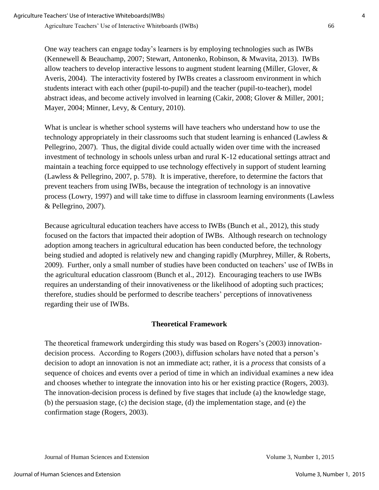One way teachers can engage today's learners is by employing technologies such as IWBs (Kennewell & Beauchamp, 2007; Stewart, Antonenko, Robinson, & Mwavita, 2013). IWBs allow teachers to develop interactive lessons to augment student learning (Miller, Glover, & Averis, 2004). The interactivity fostered by IWBs creates a classroom environment in which students interact with each other (pupil-to-pupil) and the teacher (pupil-to-teacher), model abstract ideas, and become actively involved in learning (Cakir, 2008; Glover & Miller, 2001; Mayer, 2004; Minner, Levy, & Century, 2010).

What is unclear is whether school systems will have teachers who understand how to use the technology appropriately in their classrooms such that student learning is enhanced (Lawless & Pellegrino, 2007). Thus, the digital divide could actually widen over time with the increased investment of technology in schools unless urban and rural K-12 educational settings attract and maintain a teaching force equipped to use technology effectively in support of student learning (Lawless & Pellegrino, 2007, p. 578). It is imperative, therefore, to determine the factors that prevent teachers from using IWBs, because the integration of technology is an innovative process (Lowry, 1997) and will take time to diffuse in classroom learning environments (Lawless & Pellegrino, 2007).

Because agricultural education teachers have access to IWBs (Bunch et al., 2012), this study focused on the factors that impacted their adoption of IWBs. Although research on technology adoption among teachers in agricultural education has been conducted before, the technology being studied and adopted is relatively new and changing rapidly (Murphrey, Miller, & Roberts, 2009). Further, only a small number of studies have been conducted on teachers' use of IWBs in the agricultural education classroom (Bunch et al., 2012). Encouraging teachers to use IWBs requires an understanding of their innovativeness or the likelihood of adopting such practices; therefore, studies should be performed to describe teachers' perceptions of innovativeness regarding their use of IWBs.

## **Theoretical Framework**

The theoretical framework undergirding this study was based on Rogers's (2003) innovationdecision process. According to Rogers (2003), diffusion scholars have noted that a person's decision to adopt an innovation is not an immediate act; rather, it is a *process* that consists of a sequence of choices and events over a period of time in which an individual examines a new idea and chooses whether to integrate the innovation into his or her existing practice (Rogers, 2003). The innovation-decision process is defined by five stages that include (a) the knowledge stage, (b) the persuasion stage, (c) the decision stage, (d) the implementation stage, and (e) the confirmation stage (Rogers, 2003).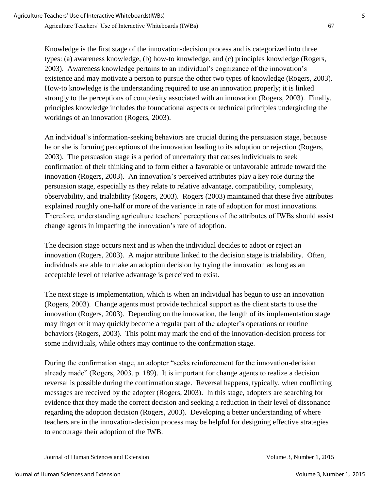Agriculture Teachers' Use of Interactive Whiteboards (IWBs) 67

Knowledge is the first stage of the innovation-decision process and is categorized into three types: (a) awareness knowledge, (b) how-to knowledge, and (c) principles knowledge (Rogers, 2003). Awareness knowledge pertains to an individual's cognizance of the innovation's existence and may motivate a person to pursue the other two types of knowledge (Rogers, 2003). How-to knowledge is the understanding required to use an innovation properly; it is linked strongly to the perceptions of complexity associated with an innovation (Rogers, 2003). Finally, principles knowledge includes the foundational aspects or technical principles undergirding the workings of an innovation (Rogers, 2003).

An individual's information-seeking behaviors are crucial during the persuasion stage, because he or she is forming perceptions of the innovation leading to its adoption or rejection (Rogers, 2003). The persuasion stage is a period of uncertainty that causes individuals to seek confirmation of their thinking and to form either a favorable or unfavorable attitude toward the innovation (Rogers, 2003). An innovation's perceived attributes play a key role during the persuasion stage, especially as they relate to relative advantage, compatibility, complexity, observability, and trialability (Rogers, 2003). Rogers (2003) maintained that these five attributes explained roughly one-half or more of the variance in rate of adoption for most innovations. Therefore, understanding agriculture teachers' perceptions of the attributes of IWBs should assist change agents in impacting the innovation's rate of adoption.

The decision stage occurs next and is when the individual decides to adopt or reject an innovation (Rogers, 2003). A major attribute linked to the decision stage is trialability. Often, individuals are able to make an adoption decision by trying the innovation as long as an acceptable level of relative advantage is perceived to exist.

The next stage is implementation, which is when an individual has begun to use an innovation (Rogers, 2003). Change agents must provide technical support as the client starts to use the innovation (Rogers, 2003). Depending on the innovation, the length of its implementation stage may linger or it may quickly become a regular part of the adopter's operations or routine behaviors (Rogers, 2003). This point may mark the end of the innovation-decision process for some individuals, while others may continue to the confirmation stage.

During the confirmation stage, an adopter "seeks reinforcement for the innovation-decision already made" (Rogers, 2003, p. 189). It is important for change agents to realize a decision reversal is possible during the confirmation stage. Reversal happens, typically, when conflicting messages are received by the adopter (Rogers, 2003). In this stage, adopters are searching for evidence that they made the correct decision and seeking a reduction in their level of dissonance regarding the adoption decision (Rogers, 2003). Developing a better understanding of where teachers are in the innovation-decision process may be helpful for designing effective strategies to encourage their adoption of the IWB.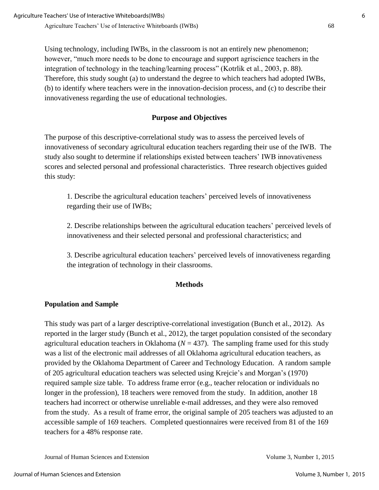Using technology, including IWBs, in the classroom is not an entirely new phenomenon; however, "much more needs to be done to encourage and support agriscience teachers in the integration of technology in the teaching/learning process" (Kotrlik et al., 2003, p. 88). Therefore, this study sought (a) to understand the degree to which teachers had adopted IWBs, (b) to identify where teachers were in the innovation-decision process, and (c) to describe their innovativeness regarding the use of educational technologies.

## **Purpose and Objectives**

The purpose of this descriptive-correlational study was to assess the perceived levels of innovativeness of secondary agricultural education teachers regarding their use of the IWB. The study also sought to determine if relationships existed between teachers' IWB innovativeness scores and selected personal and professional characteristics. Three research objectives guided this study:

1. Describe the agricultural education teachers' perceived levels of innovativeness regarding their use of IWBs;

2. Describe relationships between the agricultural education teachers' perceived levels of innovativeness and their selected personal and professional characteristics; and

3. Describe agricultural education teachers' perceived levels of innovativeness regarding the integration of technology in their classrooms.

#### **Methods**

## **Population and Sample**

This study was part of a larger descriptive-correlational investigation (Bunch et al., 2012). As reported in the larger study (Bunch et al., 2012), the target population consisted of the secondary agricultural education teachers in Oklahoma ( $N = 437$ ). The sampling frame used for this study was a list of the electronic mail addresses of all Oklahoma agricultural education teachers, as provided by the Oklahoma Department of Career and Technology Education. A random sample of 205 agricultural education teachers was selected using Krejcie's and Morgan's (1970) required sample size table. To address frame error (e.g., teacher relocation or individuals no longer in the profession), 18 teachers were removed from the study. In addition, another 18 teachers had incorrect or otherwise unreliable e-mail addresses, and they were also removed from the study. As a result of frame error, the original sample of 205 teachers was adjusted to an accessible sample of 169 teachers. Completed questionnaires were received from 81 of the 169 teachers for a 48% response rate.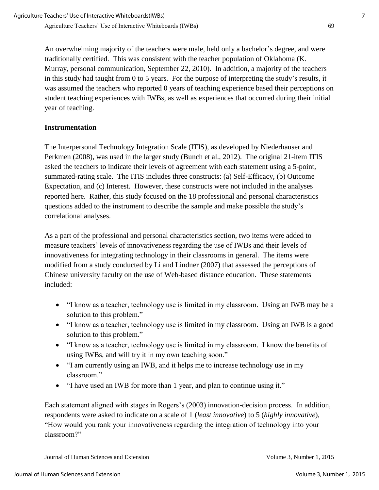An overwhelming majority of the teachers were male, held only a bachelor's degree, and were traditionally certified. This was consistent with the teacher population of Oklahoma (K. Murray, personal communication, September 22, 2010). In addition, a majority of the teachers in this study had taught from 0 to 5 years. For the purpose of interpreting the study's results, it was assumed the teachers who reported 0 years of teaching experience based their perceptions on student teaching experiences with IWBs, as well as experiences that occurred during their initial year of teaching.

## **Instrumentation**

The Interpersonal Technology Integration Scale (ITIS), as developed by Niederhauser and Perkmen (2008), was used in the larger study (Bunch et al., 2012). The original 21-item ITIS asked the teachers to indicate their levels of agreement with each statement using a 5-point, summated-rating scale. The ITIS includes three constructs: (a) Self-Efficacy, (b) Outcome Expectation, and (c) Interest. However, these constructs were not included in the analyses reported here. Rather, this study focused on the 18 professional and personal characteristics questions added to the instrument to describe the sample and make possible the study's correlational analyses.

As a part of the professional and personal characteristics section, two items were added to measure teachers' levels of innovativeness regarding the use of IWBs and their levels of innovativeness for integrating technology in their classrooms in general. The items were modified from a study conducted by Li and Lindner (2007) that assessed the perceptions of Chinese university faculty on the use of Web-based distance education. These statements included:

- "I know as a teacher, technology use is limited in my classroom. Using an IWB may be a solution to this problem."
- "I know as a teacher, technology use is limited in my classroom. Using an IWB is a good solution to this problem."
- "I know as a teacher, technology use is limited in my classroom. I know the benefits of using IWBs, and will try it in my own teaching soon."
- "I am currently using an IWB, and it helps me to increase technology use in my classroom."
- "I have used an IWB for more than 1 year, and plan to continue using it."

Each statement aligned with stages in Rogers's (2003) innovation-decision process. In addition, respondents were asked to indicate on a scale of 1 (*least innovative*) to 5 (*highly innovative*), "How would you rank your innovativeness regarding the integration of technology into your classroom?"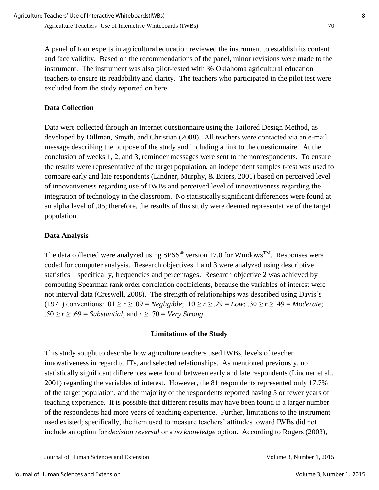A panel of four experts in agricultural education reviewed the instrument to establish its content and face validity. Based on the recommendations of the panel, minor revisions were made to the instrument. The instrument was also pilot-tested with 36 Oklahoma agricultural education teachers to ensure its readability and clarity. The teachers who participated in the pilot test were excluded from the study reported on here.

#### **Data Collection**

Data were collected through an Internet questionnaire using the Tailored Design Method, as developed by Dillman, Smyth, and Christian (2008). All teachers were contacted via an e-mail message describing the purpose of the study and including a link to the questionnaire. At the conclusion of weeks 1, 2, and 3, reminder messages were sent to the nonrespondents. To ensure the results were representative of the target population, an independent samples *t*-test was used to compare early and late respondents (Lindner, Murphy, & Briers, 2001) based on perceived level of innovativeness regarding use of IWBs and perceived level of innovativeness regarding the integration of technology in the classroom. No statistically significant differences were found at an alpha level of .05; therefore, the results of this study were deemed representative of the target population.

#### **Data Analysis**

The data collected were analyzed using  $SPSS^{\circledast}$  version 17.0 for Windows<sup>TM</sup>. Responses were coded for computer analysis. Research objectives 1 and 3 were analyzed using descriptive statistics—specifically, frequencies and percentages. Research objective 2 was achieved by computing Spearman rank order correlation coefficients, because the variables of interest were not interval data (Creswell, 2008). The strength of relationships was described using Davis's (1971) conventions:  $.01 \ge r \ge .09 = Negligible$ ;  $.10 \ge r \ge .29 = Low$ ;  $.30 \ge r \ge .49 = Moderate$ ; .50  $\ge$  *r*  $\ge$  .69 = *Substantial*; and *r*  $\ge$  .70 = *Very Strong*.

#### **Limitations of the Study**

This study sought to describe how agriculture teachers used IWBs, levels of teacher innovativeness in regard to ITs, and selected relationships. As mentioned previously, no statistically significant differences were found between early and late respondents (Lindner et al., 2001) regarding the variables of interest. However, the 81 respondents represented only 17.7% of the target population, and the majority of the respondents reported having 5 or fewer years of teaching experience. It is possible that different results may have been found if a larger number of the respondents had more years of teaching experience. Further, limitations to the instrument used existed; specifically, the item used to measure teachers' attitudes toward IWBs did not include an option for *decision reversal* or a *no knowledge* option. According to Rogers (2003),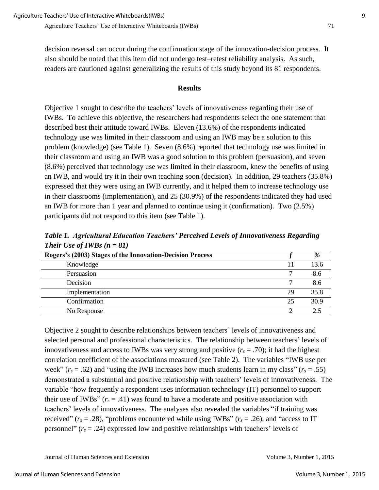decision reversal can occur during the confirmation stage of the innovation-decision process. It also should be noted that this item did not undergo test–retest reliability analysis. As such, readers are cautioned against generalizing the results of this study beyond its 81 respondents.

#### **Results**

Objective 1 sought to describe the teachers' levels of innovativeness regarding their use of IWBs. To achieve this objective, the researchers had respondents select the one statement that described best their attitude toward IWBs. Eleven (13.6%) of the respondents indicated technology use was limited in their classroom and using an IWB may be a solution to this problem (knowledge) (see Table 1). Seven (8.6%) reported that technology use was limited in their classroom and using an IWB was a good solution to this problem (persuasion), and seven (8.6%) perceived that technology use was limited in their classroom, knew the benefits of using an IWB, and would try it in their own teaching soon (decision). In addition, 29 teachers (35.8%) expressed that they were using an IWB currently, and it helped them to increase technology use in their classrooms (implementation), and 25 (30.9%) of the respondents indicated they had used an IWB for more than 1 year and planned to continue using it (confirmation). Two (2.5%) participants did not respond to this item (see Table 1).

*Table 1. Agricultural Education Teachers' Perceived Levels of Innovativeness Regarding Their Use of IWBs (n = 81)*

| Rogers's (2003) Stages of the Innovation-Decision Process |    | %    |
|-----------------------------------------------------------|----|------|
| Knowledge                                                 | 11 | 13.6 |
| Persuasion                                                |    | 8.6  |
| Decision                                                  |    | 8.6  |
| Implementation                                            | 29 | 35.8 |
| Confirmation                                              | 25 | 30.9 |
| No Response                                               |    |      |

Objective 2 sought to describe relationships between teachers' levels of innovativeness and selected personal and professional characteristics. The relationship between teachers' levels of innovativeness and access to IWBs was very strong and positive  $(r_s = .70)$ ; it had the highest correlation coefficient of the associations measured (see Table 2). The variables "IWB use per week"  $(r_s = .62)$  and "using the IWB increases how much students learn in my class"  $(r_s = .55)$ demonstrated a substantial and positive relationship with teachers' levels of innovativeness. The variable "how frequently a respondent uses information technology (IT) personnel to support their use of IWBs"  $(r_s = .41)$  was found to have a moderate and positive association with teachers' levels of innovativeness. The analyses also revealed the variables "if training was received" ( $r_s$  = .28), "problems encountered while using IWBs" ( $r_s$  = .26), and "access to IT personnel"  $(r_s = .24)$  expressed low and positive relationships with teachers' levels of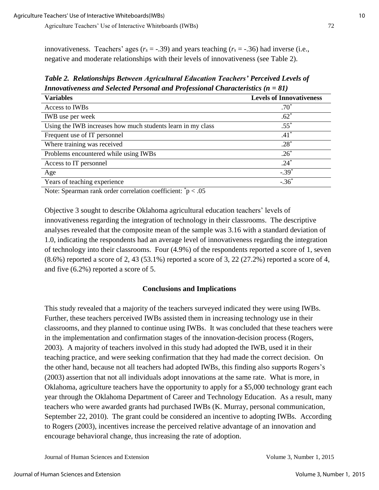innovativeness. Teachers' ages ( $r_s = -.39$ ) and years teaching ( $r_s = -.36$ ) had inverse (i.e., negative and moderate relationships with their levels of innovativeness (see Table 2).

*Table 2. Relationships Between Agricultural Education Teachers' Perceived Levels of Innovativeness and Selected Personal and Professional Characteristics (n = 81)*

| <b>Variables</b>                                                                                                                                    | <b>Levels of Innovativeness</b> |
|-----------------------------------------------------------------------------------------------------------------------------------------------------|---------------------------------|
| Access to IWBs                                                                                                                                      | $.70*$                          |
| <b>IWB</b> use per week                                                                                                                             | $.62*$                          |
| Using the IWB increases how much students learn in my class                                                                                         | $.55^*$                         |
| Frequent use of IT personnel                                                                                                                        | $.41*$                          |
| Where training was received                                                                                                                         | $.28*$                          |
| Problems encountered while using IWBs                                                                                                               | $.26*$                          |
| Access to IT personnel                                                                                                                              | $.24*$                          |
| Age                                                                                                                                                 | $-.39*$                         |
| Years of teaching experience                                                                                                                        | $-.36*$                         |
| *<br>$\sim$ $\sim$<br>the contract of the contract of the contract of the contract of the contract of the contract of the contract of<br>$\sim$ $-$ |                                 |

Note: Spearman rank order correlation coefficient: \*p < .05

Objective 3 sought to describe Oklahoma agricultural education teachers' levels of innovativeness regarding the integration of technology in their classrooms. The descriptive analyses revealed that the composite mean of the sample was 3.16 with a standard deviation of 1.0, indicating the respondents had an average level of innovativeness regarding the integration of technology into their classrooms. Four (4.9%) of the respondents reported a score of 1, seven  $(8.6\%)$  reported a score of 2, 43 (53.1%) reported a score of 3, 22 (27.2%) reported a score of 4, and five (6.2%) reported a score of 5.

#### **Conclusions and Implications**

This study revealed that a majority of the teachers surveyed indicated they were using IWBs. Further, these teachers perceived IWBs assisted them in increasing technology use in their classrooms, and they planned to continue using IWBs. It was concluded that these teachers were in the implementation and confirmation stages of the innovation-decision process (Rogers, 2003). A majority of teachers involved in this study had adopted the IWB, used it in their teaching practice, and were seeking confirmation that they had made the correct decision. On the other hand, because not all teachers had adopted IWBs, this finding also supports Rogers's (2003) assertion that not all individuals adopt innovations at the same rate. What is more, in Oklahoma, agriculture teachers have the opportunity to apply for a \$5,000 technology grant each year through the Oklahoma Department of Career and Technology Education. As a result, many teachers who were awarded grants had purchased IWBs (K. Murray, personal communication, September 22, 2010). The grant could be considered an incentive to adopting IWBs. According to Rogers (2003), incentives increase the perceived relative advantage of an innovation and encourage behavioral change, thus increasing the rate of adoption.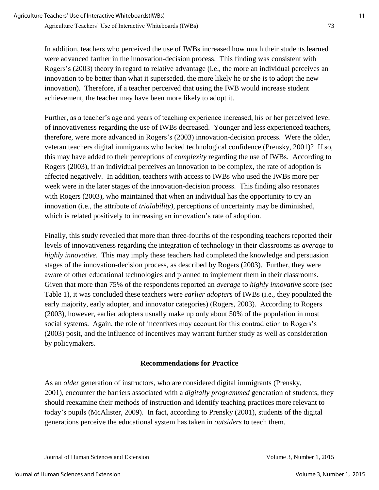In addition, teachers who perceived the use of IWBs increased how much their students learned were advanced farther in the innovation-decision process. This finding was consistent with Rogers's (2003) theory in regard to relative advantage (i.e., the more an individual perceives an innovation to be better than what it superseded, the more likely he or she is to adopt the new innovation). Therefore, if a teacher perceived that using the IWB would increase student achievement, the teacher may have been more likely to adopt it.

Further, as a teacher's age and years of teaching experience increased, his or her perceived level of innovativeness regarding the use of IWBs decreased. Younger and less experienced teachers, therefore, were more advanced in Rogers's (2003) innovation-decision process. Were the older, veteran teachers digital immigrants who lacked technological confidence (Prensky, 2001)? If so, this may have added to their perceptions of *complexity* regarding the use of IWBs. According to Rogers (2003), if an individual perceives an innovation to be complex, the rate of adoption is affected negatively. In addition, teachers with access to IWBs who used the IWBs more per week were in the later stages of the innovation-decision process. This finding also resonates with Rogers (2003), who maintained that when an individual has the opportunity to try an innovation (i.e., the attribute of *trialability),* perceptions of uncertainty may be diminished, which is related positively to increasing an innovation's rate of adoption.

Finally, this study revealed that more than three-fourths of the responding teachers reported their levels of innovativeness regarding the integration of technology in their classrooms as *average* to *highly innovative*. This may imply these teachers had completed the knowledge and persuasion stages of the innovation-decision process, as described by Rogers (2003). Further, they were aware of other educational technologies and planned to implement them in their classrooms. Given that more than 75% of the respondents reported an *average* to *highly innovative* score (see Table 1), it was concluded these teachers were *earlier adopters* of IWBs (i.e., they populated the early majority, early adopter, and innovator categories) (Rogers, 2003). According to Rogers (2003), however, earlier adopters usually make up only about 50% of the population in most social systems. Again, the role of incentives may account for this contradiction to Rogers's (2003) posit, and the influence of incentives may warrant further study as well as consideration by policymakers.

## **Recommendations for Practice**

As an *older* generation of instructors, who are considered digital immigrants (Prensky, 2001), encounter the barriers associated with a *digitally programmed* generation of students, they should reexamine their methods of instruction and identify teaching practices more relevant to today's pupils (McAlister, 2009). In fact, according to Prensky (2001), students of the digital generations perceive the educational system has taken in *outsiders* to teach them.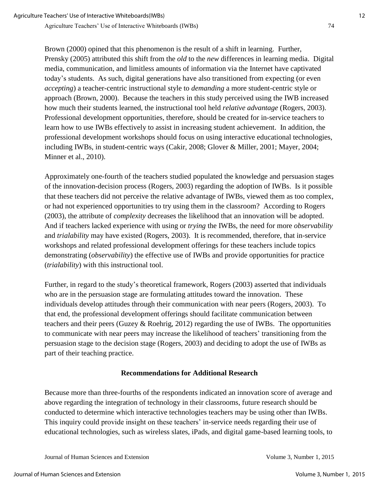Brown (2000) opined that this phenomenon is the result of a shift in learning. Further, Prensky (2005) attributed this shift from the *old* to the *new* differences in learning media. Digital media, communication, and limitless amounts of information via the Internet have captivated today's students. As such, digital generations have also transitioned from expecting (or even *accepting*) a teacher-centric instructional style to *demanding* a more student-centric style or approach (Brown, 2000). Because the teachers in this study perceived using the IWB increased how much their students learned, the instructional tool held *relative advantage* (Rogers, 2003). Professional development opportunities, therefore, should be created for in-service teachers to learn how to use IWBs effectively to assist in increasing student achievement. In addition, the professional development workshops should focus on using interactive educational technologies, including IWBs, in student-centric ways (Cakir, 2008; Glover & Miller, 2001; Mayer, 2004; Minner et al., 2010).

Approximately one-fourth of the teachers studied populated the knowledge and persuasion stages of the innovation-decision process (Rogers, 2003) regarding the adoption of IWBs. Is it possible that these teachers did not perceive the relative advantage of IWBs, viewed them as too complex, or had not experienced opportunities to try using them in the classroom? According to Rogers (2003), the attribute of *complexity* decreases the likelihood that an innovation will be adopted. And if teachers lacked experience with using or *trying* the IWBs, the need for more *observability* and *trialability* may have existed (Rogers, 2003). It is recommended, therefore, that in-service workshops and related professional development offerings for these teachers include topics demonstrating (*observability*) the effective use of IWBs and provide opportunities for practice (*trialability*) with this instructional tool.

Further, in regard to the study's theoretical framework, Rogers (2003) asserted that individuals who are in the persuasion stage are formulating attitudes toward the innovation. These individuals develop attitudes through their communication with near peers (Rogers, 2003). To that end, the professional development offerings should facilitate communication between teachers and their peers (Guzey & Roehrig, 2012) regarding the use of IWBs. The opportunities to communicate with near peers may increase the likelihood of teachers' transitioning from the persuasion stage to the decision stage (Rogers, 2003) and deciding to adopt the use of IWBs as part of their teaching practice.

## **Recommendations for Additional Research**

Because more than three-fourths of the respondents indicated an innovation score of average and above regarding the integration of technology in their classrooms, future research should be conducted to determine which interactive technologies teachers may be using other than IWBs. This inquiry could provide insight on these teachers' in-service needs regarding their use of educational technologies, such as wireless slates, iPads, and digital game-based learning tools, to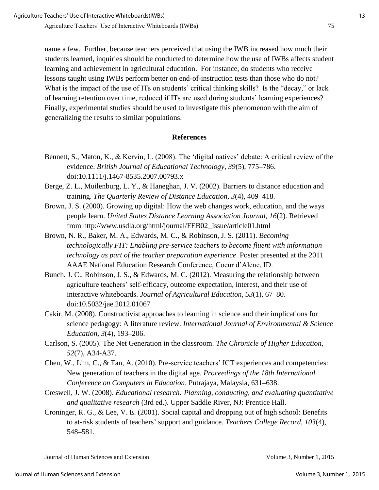name a few. Further, because teachers perceived that using the IWB increased how much their students learned, inquiries should be conducted to determine how the use of IWBs affects student learning and achievement in agricultural education. For instance, do students who receive lessons taught using IWBs perform better on end-of-instruction tests than those who do not? What is the impact of the use of ITs on students' critical thinking skills? Is the "decay," or lack of learning retention over time, reduced if ITs are used during students' learning experiences? Finally, experimental studies should be used to investigate this phenomenon with the aim of generalizing the results to similar populations.

#### **References**

- Bennett, S., Maton, K., & Kervin, L. (2008). The 'digital natives' debate: A critical review of the evidence. *British Journal of Educational Technology, 39*(5), 775**–**786. doi:10.1111/j.1467-8535.2007.00793.x
- Berge, Z. L., Muilenburg, L. Y., & Haneghan, J. V. (2002). Barriers to distance education and training. *The Quarterly Review of Distance Education, 3*(4), 409**–**418.
- Brown, J. S. (2000). Growing up digital: How the web changes work, education, and the ways people learn. *United States Distance Learning Association Journal, 16*(2). Retrieved from http://www.usdla.org/html/journal/FEB02\_Issue/article01.html
- Brown, N. R., Baker, M. A., Edwards, M. C., & Robinson, J. S. (2011). *Becoming technologically FIT: Enabling pre-service teachers to become fluent with information technology as part of the teacher preparation experience*. Poster presented at the 2011 AAAE National Education Research Conference, Coeur d'Alene, ID.
- Bunch, J. C., Robinson, J. S., & Edwards, M. C. (2012). Measuring the relationship between agriculture teachers' self-efficacy, outcome expectation, interest, and their use of interactive whiteboards. *Journal of Agricultural Education, 53*(1), 67**–**80. doi:10.5032/jae.2012.01067
- Cakir, M. (2008). Constructivist approaches to learning in science and their implications for science pedagogy: A literature review. *International Journal of Environmental & Science Education*, *3*(4), 193**–**206.
- Carlson, S. (2005). The Net Generation in the classroom. *The Chronicle of Higher Education, 52*(7), A34-A37.
- Chen, W., Lim, C., & Tan, A. (2010). Pre-service teachers' ICT experiences and competencies: New generation of teachers in the digital age. *Proceedings of the 18th International Conference on Computers in Education*. Putrajaya, Malaysia, 631**–**638.
- Creswell, J. W. (2008). *Educational research: Planning, conducting, and evaluating quantitative and qualitative research* (3rd ed.). Upper Saddle River, NJ: Prentice Hall.
- Croninger, R. G., & Lee, V. E. (2001). Social capital and dropping out of high school: Benefits to at-risk students of teachers' support and guidance. *Teachers College Record, 103*(4), 548**–**581.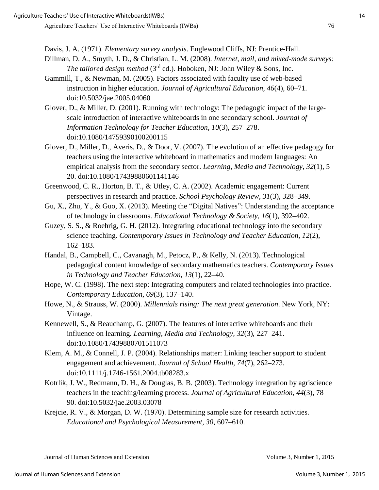Davis, J. A. (1971). *Elementary survey analysis*. Englewood Cliffs, NJ: Prentice-Hall.

- Dillman, D. A., Smyth, J. D., & Christian, L. M. (2008). *Internet, mail, and mixed-mode surveys: The tailored design method* (3<sup>rd</sup> ed.). Hoboken, NJ: John Wiley & Sons, Inc.
- Gammill, T., & Newman, M. (2005). Factors associated with faculty use of web-based instruction in higher education. *Journal of Agricultural Education, 46*(4), 60**–**71. doi:10.5032/jae.2005.04060
- Glover, D., & Miller, D. (2001). Running with technology: The pedagogic impact of the largescale introduction of interactive whiteboards in one secondary school. *Journal of Information Technology for Teacher Education, 10*(3), 257–278. doi:10.1080/14759390100200115
- Glover, D., Miller, D., Averis, D., & Door, V. (2007). The evolution of an effective pedagogy for teachers using the interactive whiteboard in mathematics and modern languages: An empirical analysis from the secondary sector. *Learning, Media and Technology, 32*(1), 5– 20. doi:10.1080/17439880601141146
- Greenwood, C. R., Horton, B. T., & Utley, C. A. (2002). Academic engagement: Current perspectives in research and practice. *School Psychology Review, 31*(3), 328**–**349.
- Gu, X., Zhu, Y., & Guo, X. (2013). Meeting the "Digital Natives": Understanding the acceptance of technology in classrooms. *Educational Technology & Society, 16*(1), 392**–**402.
- Guzey, S. S., & Roehrig, G. H. (2012). Integrating educational technology into the secondary science teaching. *Contemporary Issues in Technology and Teacher Education, 12*(2), 162**–**183.
- Handal, B., Campbell, C., Cavanagh, M., Petocz, P., & Kelly, N. (2013). Technological pedagogical content knowledge of secondary mathematics teachers. *Contemporary Issues in Technology and Teacher Education, 13*(1), 22**–**40.
- Hope, W. C. (1998). The next step: Integrating computers and related technologies into practice. *Contemporary Education, 69*(3), 137**–**140.
- Howe, N., & Strauss, W. (2000). *Millennials rising: The next great generation*. New York, NY: Vintage.
- Kennewell, S., & Beauchamp, G. (2007). The features of interactive whiteboards and their influence on learning. *Learning, Media and Technology, 32*(3), 227–241. doi:10.1080/17439880701511073
- Klem, A. M., & Connell, J. P. (2004). Relationships matter: Linking teacher support to student engagement and achievement. *Journal of School Health, 74*(7), 262**–**273. doi:10.1111/j.1746-1561.2004.tb08283.x
- Kotrlik, J. W., Redmann, D. H., & Douglas, B. B. (2003). Technology integration by agriscience teachers in the teaching/learning process. *Journal of Agricultural Education, 44*(3), 78– 90. doi:10.5032/jae.2003.03078
- Krejcie, R. V., & Morgan, D. W. (1970). Determining sample size for research activities. *Educational and Psychological Measurement, 30*, 607–610.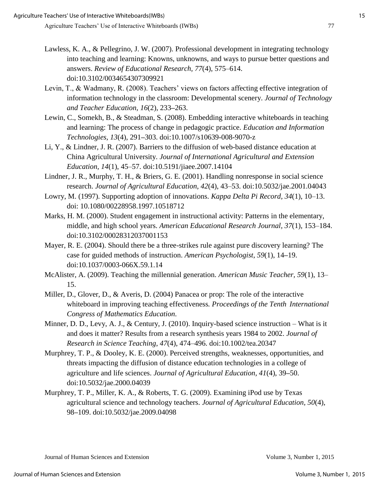- Lawless, K. A., & Pellegrino, J. W. (2007). Professional development in integrating technology into teaching and learning: Knowns, unknowns, and ways to pursue better questions and answers. *Review of Educational Research, 77*(4), 575–614. doi:10.3102/0034654307309921
- Levin, T., & Wadmany, R. (2008). Teachers' views on factors affecting effective integration of information technology in the classroom: Developmental scenery. *Journal of Technology and Teacher Education, 16*(2), 233**–**263.
- Lewin, C., Somekh, B., & Steadman, S. (2008). Embedding interactive whiteboards in teaching and learning: The process of change in pedagogic practice. *Education and Information Technologies, 13*(4), 291**–**303. doi:10.1007/s10639-008-9070-z
- Li, Y., & Lindner, J. R. (2007). Barriers to the diffusion of web-based distance education at China Agricultural University. *Journal of International Agricultural and Extension Education, 14*(1), 45–57. doi:10.5191/jiaee.2007.14104
- Lindner, J. R., Murphy, T. H., & Briers, G. E. (2001). Handling nonresponse in social science research. *Journal of Agricultural Education, 42*(4), 43–53. doi:10.5032/jae.2001.04043
- Lowry, M. (1997). Supporting adoption of innovations. *Kappa Delta Pi Record, 34*(1), 10–13. doi: 10.1080/00228958.1997.10518712
- Marks, H. M. (2000). Student engagement in instructional activity: Patterns in the elementary, middle, and high school years. *American Educational Research Journal, 37*(1), 153–184. doi:10.3102/00028312037001153
- Mayer, R. E. (2004). Should there be a three-strikes rule against pure discovery learning? The case for guided methods of instruction. *American Psychologist*, *59*(1), 14**–**19. doi:10.1037/0003-066X.59.1.14
- McAlister, A. (2009). Teaching the millennial generation. *American Music Teacher, 59*(1), 13– 15.
- Miller, D., Glover, D., & Averis, D. (2004) Panacea or prop: The role of the interactive whiteboard in improving teaching effectiveness*. Proceedings of the Tenth International Congress of Mathematics Education.*
- Minner, D. D., Levy, A. J., & Century, J. (2010). Inquiry-based science instruction What is it and does it matter? Results from a research synthesis years 1984 to 2002. *Journal of Research in Science Teaching*, *47*(4), 474–496. doi:10.1002/tea.20347
- Murphrey, T. P., & Dooley, K. E. (2000). Perceived strengths, weaknesses, opportunities, and threats impacting the diffusion of distance education technologies in a college of agriculture and life sciences. *Journal of Agricultural Education, 41*(4), 39**–**50. doi:10.5032/jae.2000.04039
- Murphrey, T. P., Miller, K. A., & Roberts, T. G. (2009). Examining iPod use by Texas agricultural science and technology teachers. *Journal of Agricultural Education, 50*(4), 98**–**109. doi:10.5032/jae.2009.04098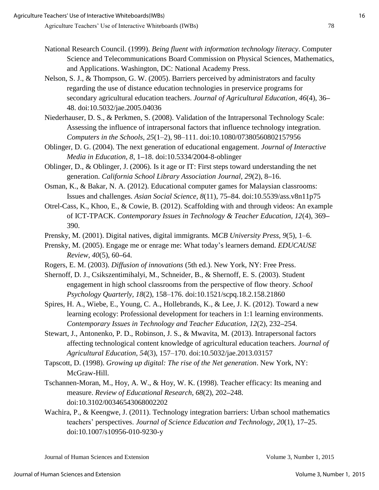- National Research Council. (1999). *Being fluent with information technology literacy*. Computer Science and Telecommunications Board Commission on Physical Sciences, Mathematics, and Applications. Washington, DC: National Academy Press.
- Nelson, S. J., & Thompson, G. W. (2005). Barriers perceived by administrators and faculty regarding the use of distance education technologies in preservice programs for secondary agricultural education teachers. *Journal of Agricultural Education, 46*(4)*,* 36**–** 48. doi:10.5032/jae.2005.04036
- Niederhauser, D. S., & Perkmen, S. (2008). Validation of the Intrapersonal Technology Scale: Assessing the influence of intrapersonal factors that influence technology integration. *Computers in the Schools, 25*(1–2), 98–111. doi:10.1080/07380560802157956
- Oblinger, D. G. (2004). The next generation of educational engagement. *Journal of Interactive Media in Education, 8*, 1**–**18. doi:10.5334/2004-8-oblinger
- Oblinger, D., & Oblinger, J. (2006). Is it age or IT: First steps toward understanding the net generation. *California School Library Association Journal, 29*(2), 8**–**16.
- Osman, K., & Bakar, N. A. (2012). Educational computer games for Malaysian classrooms: Issues and challenges. *Asian Social Science, 8*(11), 75**–**84. doi:10.5539/ass.v8n11p75
- Otrel-Cass, K., Khoo, E., & Cowie, B. (2012). Scaffolding with and through videos: An example of ICT-TPACK. *Contemporary Issues in Technology & Teacher Education, 12*(4), 369**–** 390.
- Prensky, M. (2001). Digital natives, digital immigrants. M*CB University Press, 9*(5), 1–6.
- Prensky, M. (2005). Engage me or enrage me: What today's learners demand. *EDUCAUSE Review, 40*(5), 60**–**64.
- Rogers, E. M. (2003). *Diffusion of innovations* (5th ed.). New York, NY: Free Press.
- Shernoff, D. J., Csikszentimihalyi, M., Schneider, B., & Shernoff, E. S. (2003). Student engagement in high school classrooms from the perspective of flow theory. *School Psychology Quarterly, 18*(2), 158–176. doi:10.1521/scpq.18.2.158.21860
- Spires, H. A., Wiebe, E., Young, C. A., Hollebrands, K., & Lee, J. K. (2012). Toward a new learning ecology: Professional development for teachers in 1:1 learning environments. *Contemporary Issues in Technology and Teacher Education, 12*(2), 232**–**254.
- Stewart, J., Antonenko, P. D., Robinson, J. S., & Mwavita, M. (2013). Intrapersonal factors affecting technological content knowledge of agricultural education teachers. *Journal of Agricultural Education, 54*(3), 157–170. doi:10.5032/jae.2013.03157
- Tapscott, D. (1998). *Growing up digital: The rise of the Net generation*. New York, NY: McGraw-Hill.
- Tschannen-Moran, M., Hoy, A. W., & Hoy, W. K. (1998). Teacher efficacy: Its meaning and measure. *Review of Educational Research, 68*(2), 202**–**248. doi:10.3102/00346543068002202
- Wachira, P., & Keengwe, J. (2011). Technology integration barriers: Urban school mathematics teachers' perspectives. *Journal of Science Education and Technology, 20*(1), 17**–**25. doi:10.1007/s10956-010-9230-y